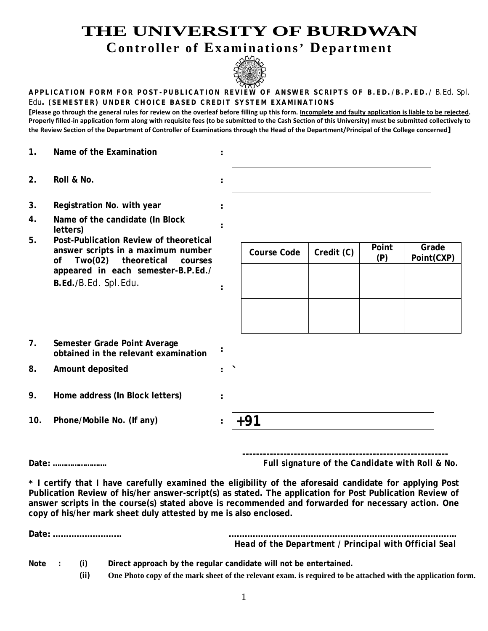## **THE UNIVERSITY OF BURDWAN**

**Controller of Examinations' Department**



## **APPLICATION FORM FOR POST - PUBLICATION REVIEW OF ANSWER SCRIPTS OF B.ED./B.P.ED./** B.Ed. Spl. Edu**. (SEMESTER) UNDER CHOICE BASED CREDIT SYSTEM EXAMINATIONS**

**[Please go through the general rules for review on the overleaf before filling up this form. Incomplete and faulty application is liable to be rejected. Properly filled-in application form along with requisite fees (to be submitted to the Cash Section of this University) must be submitted collectively to the Review Section of the Department of Controller of Examinations through the Head of the Department/Principal of the College concerned]**

- **1. Name of the Examination :**
- **2. Roll & No. :**
- **3. Registration No. with year :**
- **4. Name of the candidate (In Block letters) :**
- **5. Post-Publication Review of theoretical answer scripts in a maximum number of Two(02) theoretical courses appeared in each semester-B.P.Ed./ B.Ed./**B.Ed. Spl.Edu. **:**

| <b>Course Code</b> | Credit (C) | Point<br>(P) | Grade<br>Point(CXP) |
|--------------------|------------|--------------|---------------------|
|                    |            |              |                     |
|                    |            |              |                     |
|                    |            |              |                     |

- **7. Semester Grade Point Average obtained in the relevant examination :**
- **8. Amount deposited : `**
- **9. Home address (In Block letters) :**
- **10. Phone/Mobile No. (If any) : +91**



**Date: …………………….** *Full signature of the Candidate with Roll & No.*

**\* I certify that I have carefully examined the eligibility of the aforesaid candidate for applying Post Publication Review of his/her answer-script(s) as stated. The application for Post Publication Review of answer scripts in the course(s) stated above is recommended and forwarded for necessary action. One copy of his/her mark sheet duly attested by me is also enclosed.**

|        |                 | Head of the Department / Principal with Official Seal             |
|--------|-----------------|-------------------------------------------------------------------|
| Note : | (i)<br>$\cdots$ | Direct approach by the regular candidate will not be entertained. |

**(ii) One Photo copy of the mark sheet of the relevant exam. is required to be attached with the application form.**